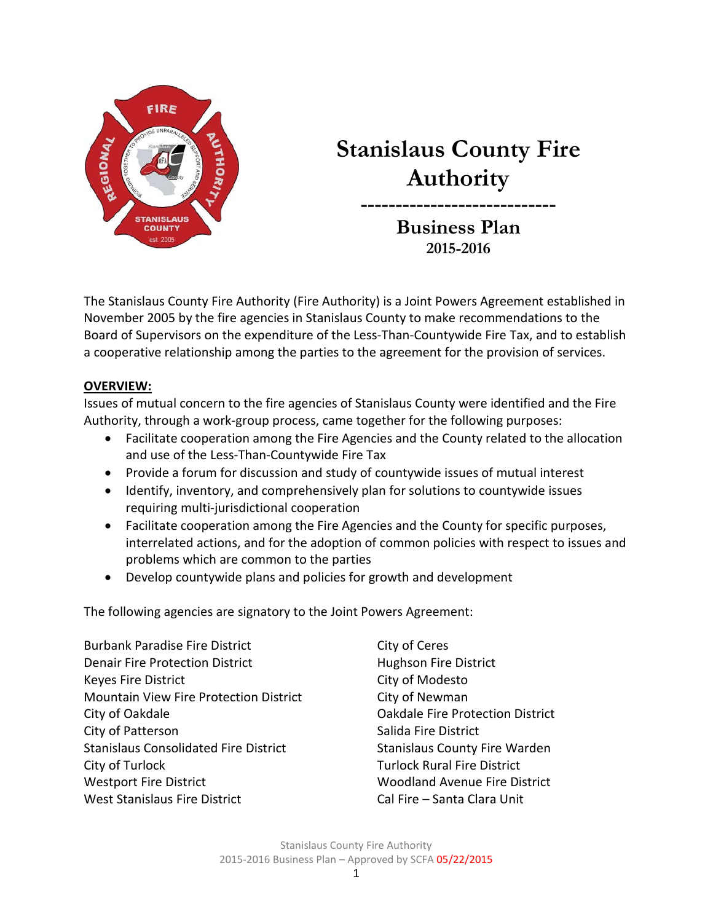

# **Stanislaus County Fire Authority**

**---------------------------- Business Plan 2015-2016**

The Stanislaus County Fire Authority (Fire Authority) is a Joint Powers Agreement established in November 2005 by the fire agencies in Stanislaus County to make recommendations to the Board of Supervisors on the expenditure of the Less-Than-Countywide Fire Tax, and to establish a cooperative relationship among the parties to the agreement for the provision of services.

## **OVERVIEW:**

Issues of mutual concern to the fire agencies of Stanislaus County were identified and the Fire Authority, through a work-group process, came together for the following purposes:

- Facilitate cooperation among the Fire Agencies and the County related to the allocation and use of the Less-Than-Countywide Fire Tax
- Provide a forum for discussion and study of countywide issues of mutual interest
- Identify, inventory, and comprehensively plan for solutions to countywide issues requiring multi-jurisdictional cooperation
- Facilitate cooperation among the Fire Agencies and the County for specific purposes, interrelated actions, and for the adoption of common policies with respect to issues and problems which are common to the parties
- Develop countywide plans and policies for growth and development

The following agencies are signatory to the Joint Powers Agreement:

Burbank Paradise Fire District City of Ceres Denair Fire Protection District **Hughson Fire District** Keyes Fire District **City of Modesto** Mountain View Fire Protection District City of Newman City of Oakdale Oakdale Fire Protection District City of Patterson Salida Fire District Stanislaus Consolidated Fire District Stanislaus County Fire Warden City of Turlock Turlock Rural Fire District Westport Fire District Woodland Avenue Fire District West Stanislaus Fire District Cal Fire – Santa Clara Unit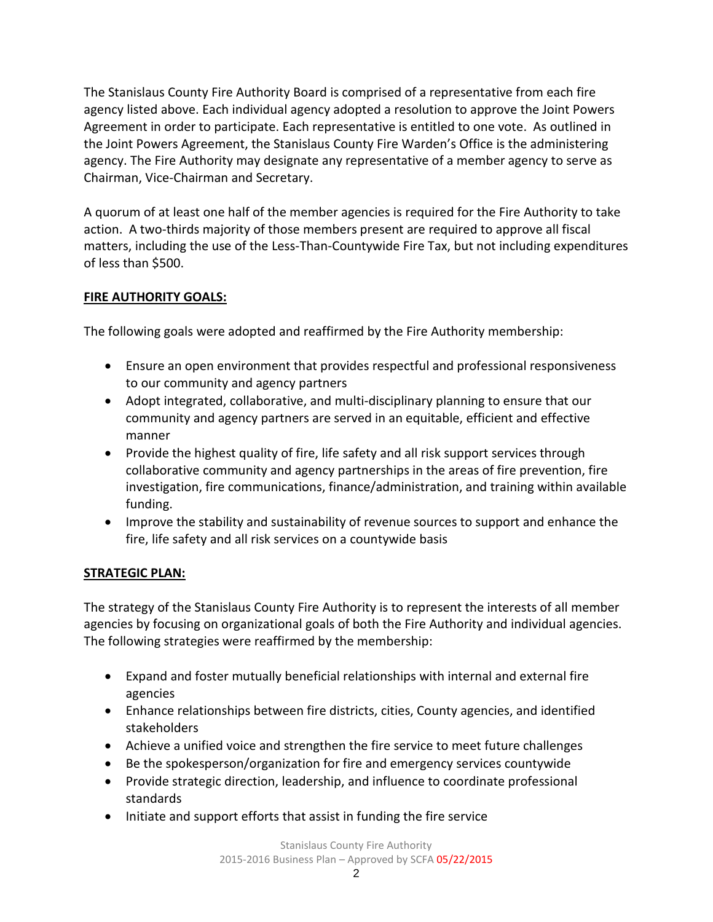The Stanislaus County Fire Authority Board is comprised of a representative from each fire agency listed above. Each individual agency adopted a resolution to approve the Joint Powers Agreement in order to participate. Each representative is entitled to one vote. As outlined in the Joint Powers Agreement, the Stanislaus County Fire Warden's Office is the administering agency. The Fire Authority may designate any representative of a member agency to serve as Chairman, Vice-Chairman and Secretary.

A quorum of at least one half of the member agencies is required for the Fire Authority to take action. A two-thirds majority of those members present are required to approve all fiscal matters, including the use of the Less-Than-Countywide Fire Tax, but not including expenditures of less than \$500.

## **FIRE AUTHORITY GOALS:**

The following goals were adopted and reaffirmed by the Fire Authority membership:

- Ensure an open environment that provides respectful and professional responsiveness to our community and agency partners
- Adopt integrated, collaborative, and multi-disciplinary planning to ensure that our community and agency partners are served in an equitable, efficient and effective manner
- Provide the highest quality of fire, life safety and all risk support services through collaborative community and agency partnerships in the areas of fire prevention, fire investigation, fire communications, finance/administration, and training within available funding.
- Improve the stability and sustainability of revenue sources to support and enhance the fire, life safety and all risk services on a countywide basis

## **STRATEGIC PLAN:**

The strategy of the Stanislaus County Fire Authority is to represent the interests of all member agencies by focusing on organizational goals of both the Fire Authority and individual agencies. The following strategies were reaffirmed by the membership:

- Expand and foster mutually beneficial relationships with internal and external fire agencies
- Enhance relationships between fire districts, cities, County agencies, and identified stakeholders
- Achieve a unified voice and strengthen the fire service to meet future challenges
- Be the spokesperson/organization for fire and emergency services countywide
- Provide strategic direction, leadership, and influence to coordinate professional standards
- Initiate and support efforts that assist in funding the fire service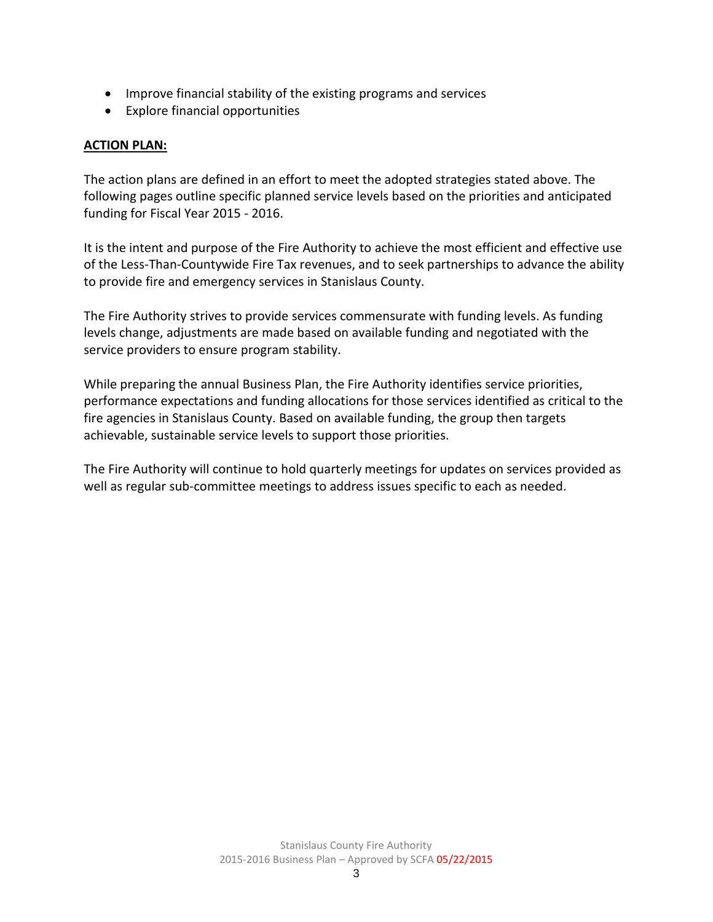- Improve financial stability of the existing programs and services
- Explore financial opportunities

#### **ACTION PLAN:**

The action plans are defined in an effort to meet the adopted strategies stated above. The following pages outline specific planned service levels based on the priorities and anticipated funding for Fiscal Year 2015 - 2016.

It is the intent and purpose of the Fire Authority to achieve the most efficient and effective use of the Less-Than-Countywide Fire Tax revenues, and to seek partnerships to advance the ability to provide fire and emergency services in Stanislaus County.

The Fire Authority strives to provide services commensurate with funding levels. As funding levels change, adjustments are made based on available funding and negotiated with the service providers to ensure program stability.

While preparing the annual Business Plan, the Fire Authority identifies service priorities, performance expectations and funding allocations for those services identified as critical to the fire agencies in Stanislaus County. Based on available funding, the group then targets achievable, sustainable service levels to support those priorities.

The Fire Authority will continue to hold quarterly meetings for updates on services provided as well as regular sub-committee meetings to address issues specific to each as needed.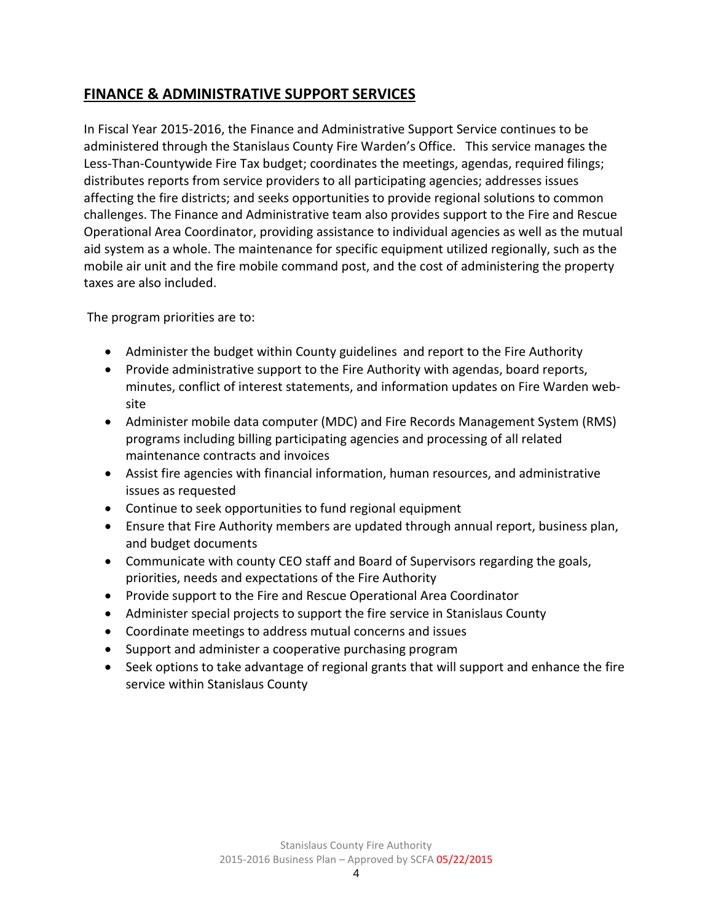# **FINANCE & ADMINISTRATIVE SUPPORT SERVICES**

In Fiscal Year 2015-2016, the Finance and Administrative Support Service continues to be administered through the Stanislaus County Fire Warden's Office. This service manages the Less-Than-Countywide Fire Tax budget; coordinates the meetings, agendas, required filings; distributes reports from service providers to all participating agencies; addresses issues affecting the fire districts; and seeks opportunities to provide regional solutions to common challenges. The Finance and Administrative team also provides support to the Fire and Rescue Operational Area Coordinator, providing assistance to individual agencies as well as the mutual aid system as a whole. The maintenance for specific equipment utilized regionally, such as the mobile air unit and the fire mobile command post, and the cost of administering the property taxes are also included.

The program priorities are to:

- Administer the budget within County guidelines and report to the Fire Authority
- Provide administrative support to the Fire Authority with agendas, board reports, minutes, conflict of interest statements, and information updates on Fire Warden website
- Administer mobile data computer (MDC) and Fire Records Management System (RMS) programs including billing participating agencies and processing of all related maintenance contracts and invoices
- Assist fire agencies with financial information, human resources, and administrative issues as requested
- Continue to seek opportunities to fund regional equipment
- Ensure that Fire Authority members are updated through annual report, business plan, and budget documents
- Communicate with county CEO staff and Board of Supervisors regarding the goals, priorities, needs and expectations of the Fire Authority
- Provide support to the Fire and Rescue Operational Area Coordinator
- Administer special projects to support the fire service in Stanislaus County
- Coordinate meetings to address mutual concerns and issues
- Support and administer a cooperative purchasing program
- Seek options to take advantage of regional grants that will support and enhance the fire service within Stanislaus County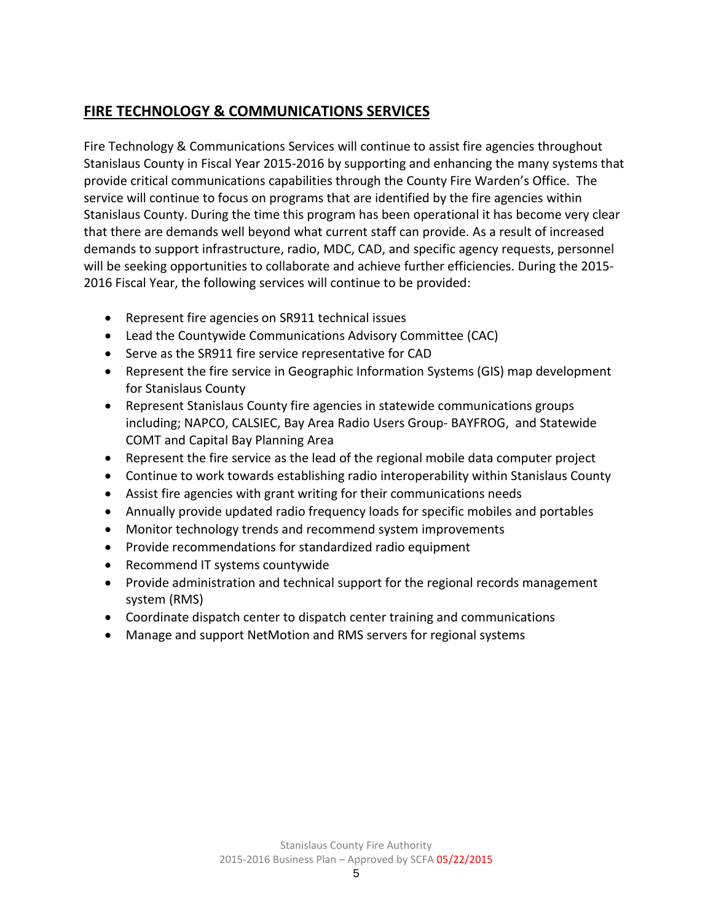# **FIRE TECHNOLOGY & COMMUNICATIONS SERVICES**

Fire Technology & Communications Services will continue to assist fire agencies throughout Stanislaus County in Fiscal Year 2015-2016 by supporting and enhancing the many systems that provide critical communications capabilities through the County Fire Warden's Office. The service will continue to focus on programs that are identified by the fire agencies within Stanislaus County. During the time this program has been operational it has become very clear that there are demands well beyond what current staff can provide. As a result of increased demands to support infrastructure, radio, MDC, CAD, and specific agency requests, personnel will be seeking opportunities to collaborate and achieve further efficiencies. During the 2015- 2016 Fiscal Year, the following services will continue to be provided:

- Represent fire agencies on SR911 technical issues
- Lead the Countywide Communications Advisory Committee (CAC)
- Serve as the SR911 fire service representative for CAD
- Represent the fire service in Geographic Information Systems (GIS) map development for Stanislaus County
- Represent Stanislaus County fire agencies in statewide communications groups including; NAPCO, CALSIEC, Bay Area Radio Users Group- BAYFROG, and Statewide COMT and Capital Bay Planning Area
- Represent the fire service as the lead of the regional mobile data computer project
- Continue to work towards establishing radio interoperability within Stanislaus County
- Assist fire agencies with grant writing for their communications needs
- Annually provide updated radio frequency loads for specific mobiles and portables
- Monitor technology trends and recommend system improvements
- Provide recommendations for standardized radio equipment
- Recommend IT systems countywide
- Provide administration and technical support for the regional records management system (RMS)
- Coordinate dispatch center to dispatch center training and communications
- Manage and support NetMotion and RMS servers for regional systems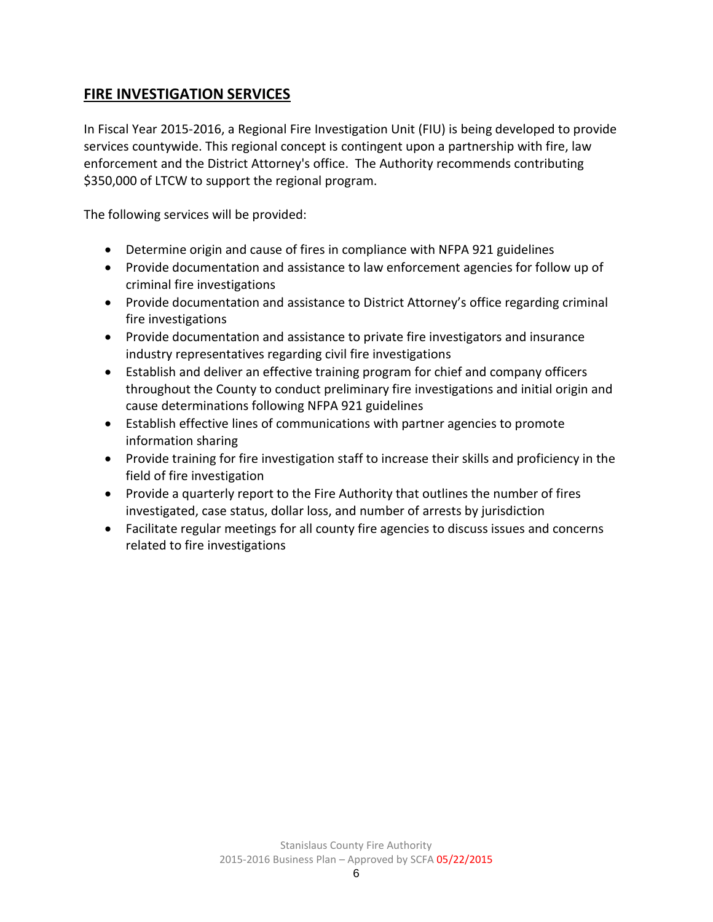# **FIRE INVESTIGATION SERVICES**

In Fiscal Year 2015-2016, a Regional Fire Investigation Unit (FIU) is being developed to provide services countywide. This regional concept is contingent upon a partnership with fire, law enforcement and the District Attorney's office. The Authority recommends contributing \$350,000 of LTCW to support the regional program.

The following services will be provided:

- Determine origin and cause of fires in compliance with NFPA 921 guidelines
- Provide documentation and assistance to law enforcement agencies for follow up of criminal fire investigations
- Provide documentation and assistance to District Attorney's office regarding criminal fire investigations
- Provide documentation and assistance to private fire investigators and insurance industry representatives regarding civil fire investigations
- Establish and deliver an effective training program for chief and company officers throughout the County to conduct preliminary fire investigations and initial origin and cause determinations following NFPA 921 guidelines
- Establish effective lines of communications with partner agencies to promote information sharing
- Provide training for fire investigation staff to increase their skills and proficiency in the field of fire investigation
- Provide a quarterly report to the Fire Authority that outlines the number of fires investigated, case status, dollar loss, and number of arrests by jurisdiction
- Facilitate regular meetings for all county fire agencies to discuss issues and concerns related to fire investigations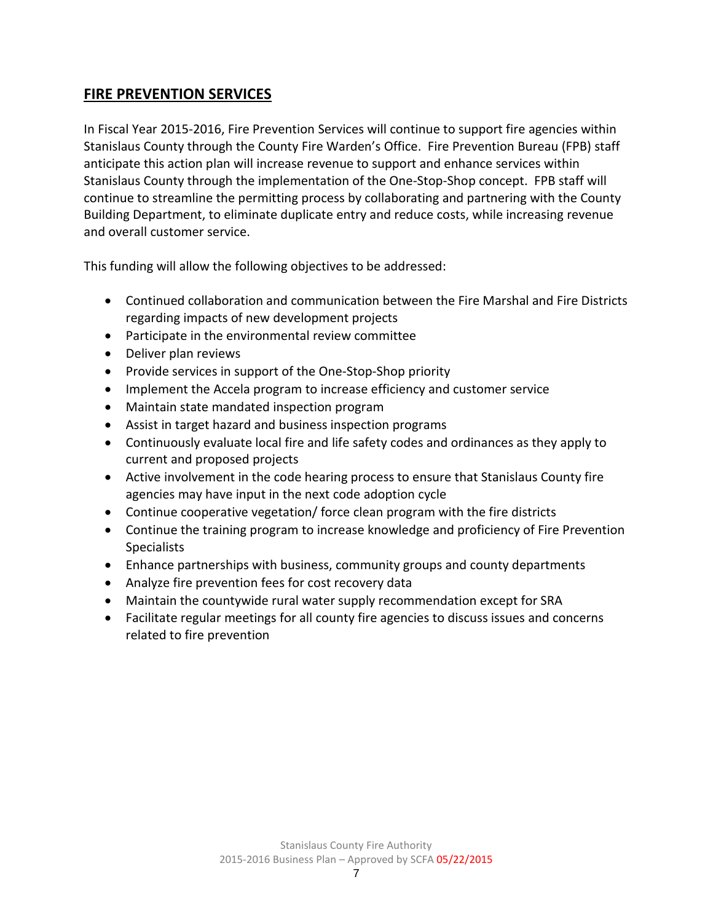# **FIRE PREVENTION SERVICES**

In Fiscal Year 2015-2016, Fire Prevention Services will continue to support fire agencies within Stanislaus County through the County Fire Warden's Office. Fire Prevention Bureau (FPB) staff anticipate this action plan will increase revenue to support and enhance services within Stanislaus County through the implementation of the One-Stop-Shop concept. FPB staff will continue to streamline the permitting process by collaborating and partnering with the County Building Department, to eliminate duplicate entry and reduce costs, while increasing revenue and overall customer service.

This funding will allow the following objectives to be addressed:

- Continued collaboration and communication between the Fire Marshal and Fire Districts regarding impacts of new development projects
- Participate in the environmental review committee
- Deliver plan reviews
- Provide services in support of the One-Stop-Shop priority
- Implement the Accela program to increase efficiency and customer service
- Maintain state mandated inspection program
- Assist in target hazard and business inspection programs
- Continuously evaluate local fire and life safety codes and ordinances as they apply to current and proposed projects
- Active involvement in the code hearing process to ensure that Stanislaus County fire agencies may have input in the next code adoption cycle
- Continue cooperative vegetation/ force clean program with the fire districts
- Continue the training program to increase knowledge and proficiency of Fire Prevention **Specialists**
- Enhance partnerships with business, community groups and county departments
- Analyze fire prevention fees for cost recovery data
- Maintain the countywide rural water supply recommendation except for SRA
- Facilitate regular meetings for all county fire agencies to discuss issues and concerns related to fire prevention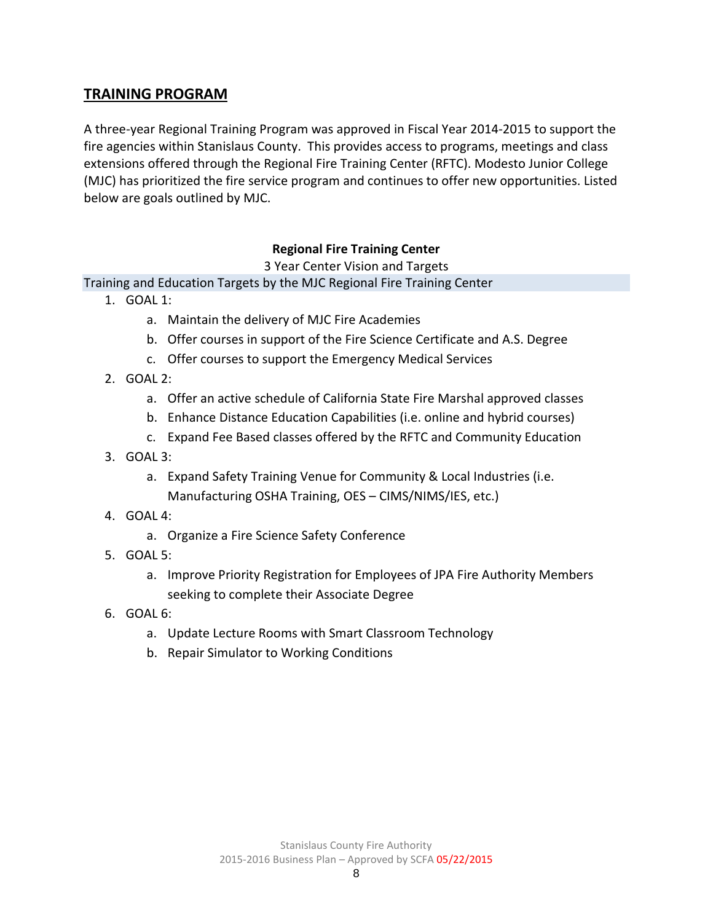## **TRAINING PROGRAM**

A three-year Regional Training Program was approved in Fiscal Year 2014-2015 to support the fire agencies within Stanislaus County. This provides access to programs, meetings and class extensions offered through the Regional Fire Training Center (RFTC). Modesto Junior College (MJC) has prioritized the fire service program and continues to offer new opportunities. Listed below are goals outlined by MJC.

#### **Regional Fire Training Center**

3 Year Center Vision and Targets

Training and Education Targets by the MJC Regional Fire Training Center

- 1. GOAL 1:
	- a. Maintain the delivery of MJC Fire Academies
	- b. Offer courses in support of the Fire Science Certificate and A.S. Degree
	- c. Offer courses to support the Emergency Medical Services
- 2. GOAL 2:
	- a. Offer an active schedule of California State Fire Marshal approved classes
	- b. Enhance Distance Education Capabilities (i.e. online and hybrid courses)
	- c. Expand Fee Based classes offered by the RFTC and Community Education
- 3. GOAL 3:
	- a. Expand Safety Training Venue for Community & Local Industries (i.e. Manufacturing OSHA Training, OES – CIMS/NIMS/IES, etc.)
- 4. GOAL 4:
	- a. Organize a Fire Science Safety Conference
- 5. GOAL 5:
	- a. Improve Priority Registration for Employees of JPA Fire Authority Members seeking to complete their Associate Degree
- 6. GOAL 6:
	- a. Update Lecture Rooms with Smart Classroom Technology
	- b. Repair Simulator to Working Conditions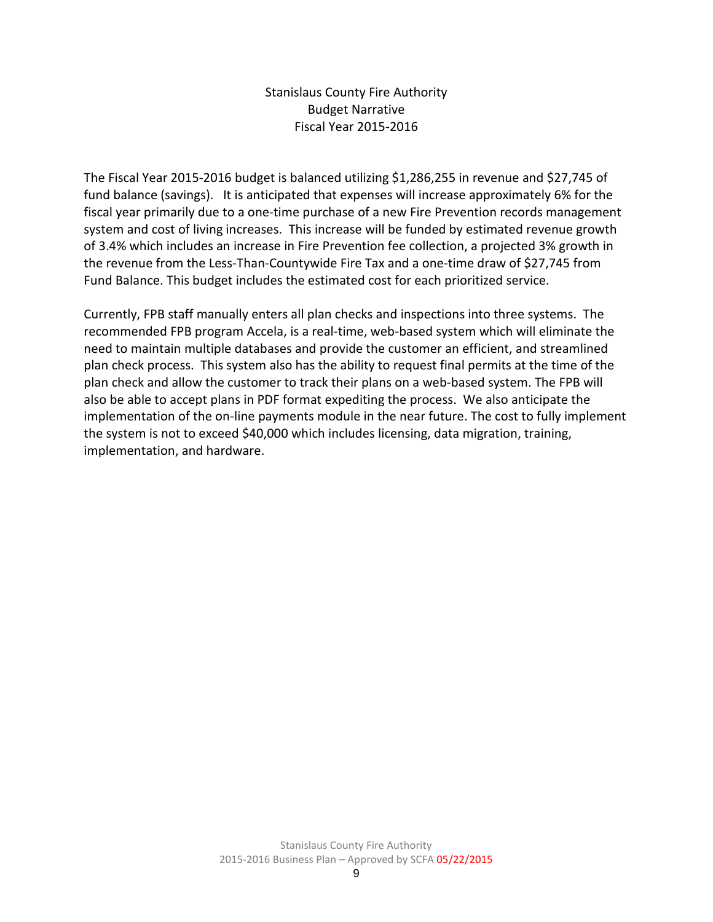Stanislaus County Fire Authority Budget Narrative Fiscal Year 2015-2016

The Fiscal Year 2015-2016 budget is balanced utilizing \$1,286,255 in revenue and \$27,745 of fund balance (savings). It is anticipated that expenses will increase approximately 6% for the fiscal year primarily due to a one-time purchase of a new Fire Prevention records management system and cost of living increases. This increase will be funded by estimated revenue growth of 3.4% which includes an increase in Fire Prevention fee collection, a projected 3% growth in the revenue from the Less-Than-Countywide Fire Tax and a one-time draw of \$27,745 from Fund Balance. This budget includes the estimated cost for each prioritized service.

Currently, FPB staff manually enters all plan checks and inspections into three systems. The recommended FPB program Accela, is a real-time, web-based system which will eliminate the need to maintain multiple databases and provide the customer an efficient, and streamlined plan check process. This system also has the ability to request final permits at the time of the plan check and allow the customer to track their plans on a web-based system. The FPB will also be able to accept plans in PDF format expediting the process. We also anticipate the implementation of the on-line payments module in the near future. The cost to fully implement the system is not to exceed \$40,000 which includes licensing, data migration, training, implementation, and hardware.